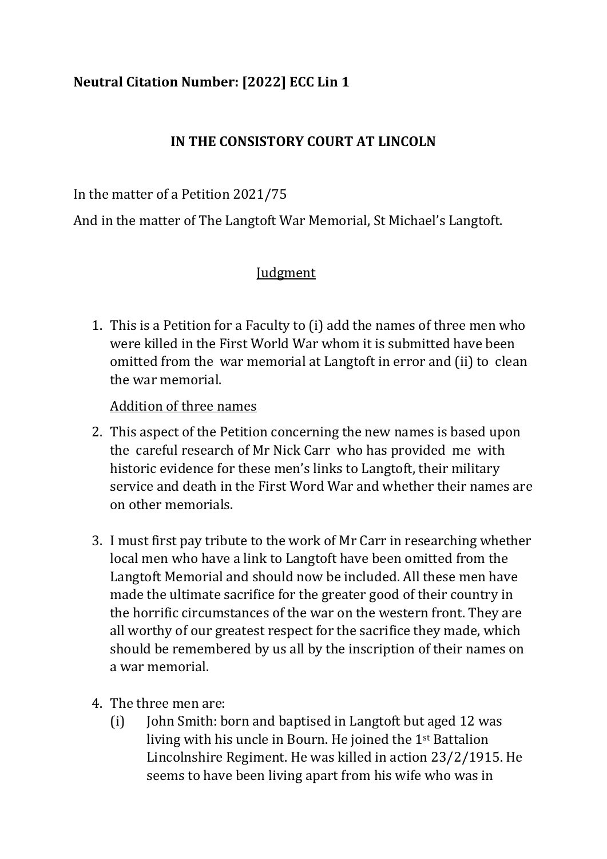# **Neutral Citation Number: [2022] ECC Lin 1**

## **IN THE CONSISTORY COURT AT LINCOLN**

In the matter of a Petition 2021/75

And in the matter of The Langtoft War Memorial, St Michael's Langtoft.

### Judgment

1. This is a Petition for a Faculty to (i) add the names of three men who were killed in the First World War whom it is submitted have been omitted from the war memorial at Langtoft in error and (ii) to clean the war memorial.

#### Addition of three names

- 2. This aspect of the Petition concerning the new names is based upon the careful research of Mr Nick Carr who has provided me with historic evidence for these men's links to Langtoft, their military service and death in the First Word War and whether their names are on other memorials.
- 3. I must first pay tribute to the work of Mr Carr in researching whether local men who have a link to Langtoft have been omitted from the Langtoft Memorial and should now be included. All these men have made the ultimate sacrifice for the greater good of their country in the horrific circumstances of the war on the western front. They are all worthy of our greatest respect for the sacrifice they made, which should be remembered by us all by the inscription of their names on a war memorial.
- 4. The three men are:
	- (i) John Smith: born and baptised in Langtoft but aged 12 was living with his uncle in Bourn. He joined the 1st Battalion Lincolnshire Regiment. He was killed in action 23/2/1915. He seems to have been living apart from his wife who was in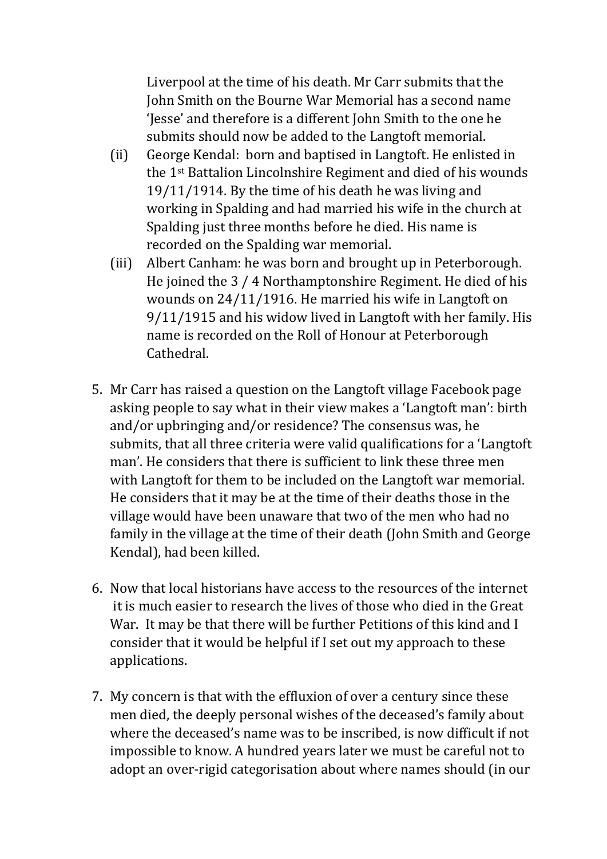Liverpool at the time of his death. Mr Carr submits that the John Smith on the Bourne War Memorial has a second name 'Jesse' and therefore is a different John Smith to the one he submits should now be added to the Langtoft memorial.

- (ii) George Kendal: born and baptised in Langtoft. He enlisted in the 1st Battalion Lincolnshire Regiment and died of his wounds 19/11/1914. By the time of his death he was living and working in Spalding and had married his wife in the church at Spalding just three months before he died. His name is recorded on the Spalding war memorial.
- (iii) Albert Canham: he was born and brought up in Peterborough. He joined the 3 / 4 Northamptonshire Regiment. He died of his wounds on 24/11/1916. He married his wife in Langtoft on 9/11/1915 and his widow lived in Langtoft with her family. His name is recorded on the Roll of Honour at Peterborough Cathedral.
- 5. Mr Carr has raised a question on the Langtoft village Facebook page asking people to say what in their view makes a 'Langtoft man': birth and/or upbringing and/or residence? The consensus was, he submits, that all three criteria were valid qualifications for a 'Langtoft man'. He considers that there is sufficient to link these three men with Langtoft for them to be included on the Langtoft war memorial. He considers that it may be at the time of their deaths those in the village would have been unaware that two of the men who had no family in the village at the time of their death (John Smith and George Kendal), had been killed.
- 6. Now that local historians have access to the resources of the internet it is much easier to research the lives of those who died in the Great War. It may be that there will be further Petitions of this kind and I consider that it would be helpful if I set out my approach to these applications.
- 7. My concern is that with the effluxion of over a century since these men died, the deeply personal wishes of the deceased's family about where the deceased's name was to be inscribed, is now difficult if not impossible to know. A hundred years later we must be careful not to adopt an over-rigid categorisation about where names should (in our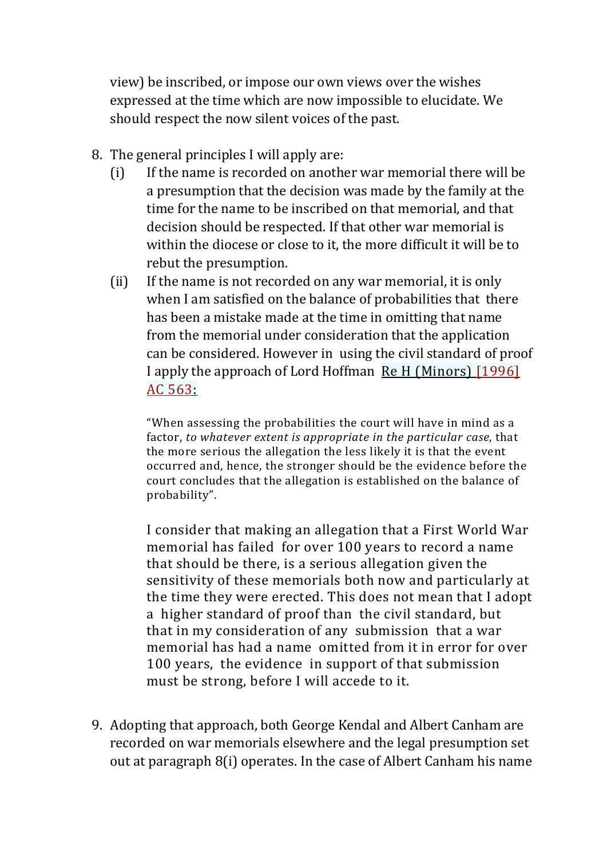view) be inscribed, or impose our own views over the wishes expressed at the time which are now impossible to elucidate. We should respect the now silent voices of the past.

- 8. The general principles I will apply are:
	- (i) If the name is recorded on another war memorial there will be a presumption that the decision was made by the family at the time for the name to be inscribed on that memorial, and that decision should be respected. If that other war memorial is within the diocese or close to it, the more difficult it will be to rebut the presumption.
	- (ii) If the name is not recorded on any war memorial, it is only when I am satisfied on the balance of probabilities that there has been a mistake made at the time in omitting that name from the memorial under consideration that the application can be considered. However in using the civil standard of proof I apply the approach of Lord Hoffman Re H (Minors) [1996] AC 563:

"When assessing the probabilities the court will have in mind as a factor, *to whatever extent is appropriate in the particular case*, that the more serious the allegation the less likely it is that the event occurred and, hence, the stronger should be the evidence before the court concludes that the allegation is established on the balance of probability".

I consider that making an allegation that a First World War memorial has failed for over 100 years to record a name that should be there, is a serious allegation given the sensitivity of these memorials both now and particularly at the time they were erected. This does not mean that I adopt a higher standard of proof than the civil standard, but that in my consideration of any submission that a war memorial has had a name omitted from it in error for over 100 years, the evidence in support of that submission must be strong, before I will accede to it.

9. Adopting that approach, both George Kendal and Albert Canham are recorded on war memorials elsewhere and the legal presumption set out at paragraph 8(i) operates. In the case of Albert Canham his name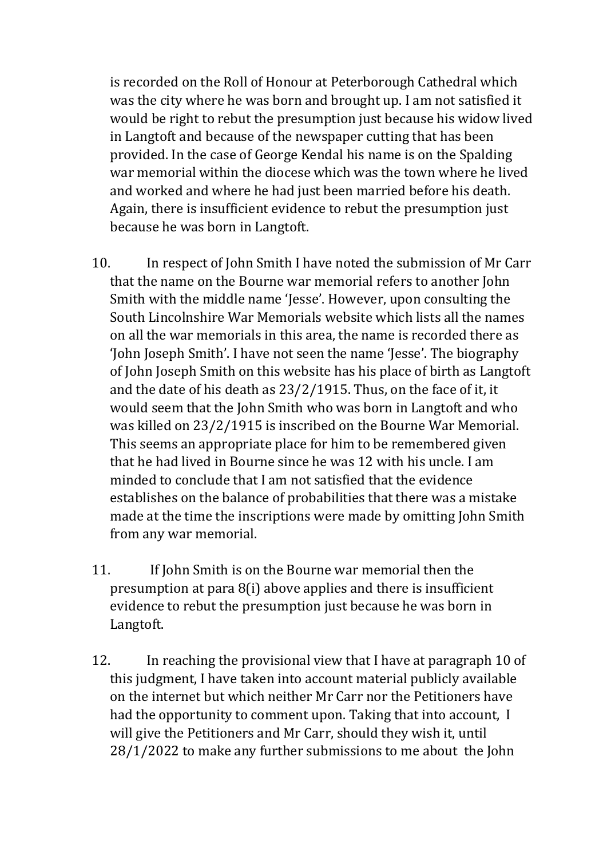is recorded on the Roll of Honour at Peterborough Cathedral which was the city where he was born and brought up. I am not satisfied it would be right to rebut the presumption just because his widow lived in Langtoft and because of the newspaper cutting that has been provided. In the case of George Kendal his name is on the Spalding war memorial within the diocese which was the town where he lived and worked and where he had just been married before his death. Again, there is insufficient evidence to rebut the presumption just because he was born in Langtoft.

- 10. In respect of John Smith I have noted the submission of Mr Carr that the name on the Bourne war memorial refers to another John Smith with the middle name 'Jesse'. However, upon consulting the South Lincolnshire War Memorials website which lists all the names on all the war memorials in this area, the name is recorded there as 'John Joseph Smith'. I have not seen the name 'Jesse'. The biography of John Joseph Smith on this website has his place of birth as Langtoft and the date of his death as 23/2/1915. Thus, on the face of it, it would seem that the John Smith who was born in Langtoft and who was killed on 23/2/1915 is inscribed on the Bourne War Memorial. This seems an appropriate place for him to be remembered given that he had lived in Bourne since he was 12 with his uncle. I am minded to conclude that I am not satisfied that the evidence establishes on the balance of probabilities that there was a mistake made at the time the inscriptions were made by omitting John Smith from any war memorial.
- 11. If John Smith is on the Bourne war memorial then the presumption at para 8(i) above applies and there is insufficient evidence to rebut the presumption just because he was born in Langtoft.
- 12. In reaching the provisional view that I have at paragraph 10 of this judgment, I have taken into account material publicly available on the internet but which neither Mr Carr nor the Petitioners have had the opportunity to comment upon. Taking that into account, I will give the Petitioners and Mr Carr, should they wish it, until 28/1/2022 to make any further submissions to me about the John